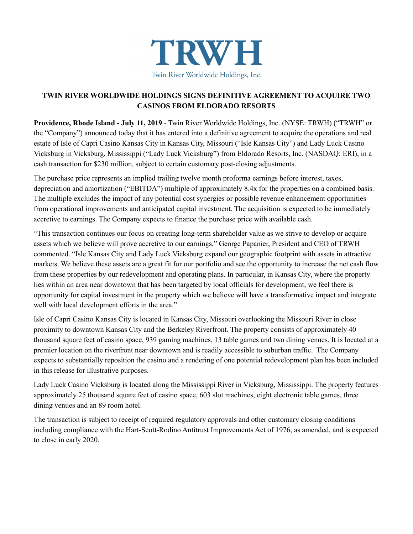

# **TWIN RIVER WORLDWIDE HOLDINGS SIGNS DEFINITIVE AGREEMENT TO ACQUIRE TWO CASINOS FROM ELDORADO RESORTS**

**Providence, Rhode Island - July 11, 2019** - Twin River Worldwide Holdings, Inc. (NYSE: TRWH) ("TRWH" or the "Company") announced today that it has entered into a definitive agreement to acquire the operations and real estate of Isle of Capri Casino Kansas City in Kansas City, Missouri ("Isle Kansas City") and Lady Luck Casino Vicksburg in Vicksburg, Mississippi ("Lady Luck Vicksburg") from Eldorado Resorts, Inc. (NASDAQ: ERI), in a cash transaction for \$230 million, subject to certain customary post-closing adjustments.

The purchase price represents an implied trailing twelve month proforma earnings before interest, taxes, depreciation and amortization ("EBITDA") multiple of approximately 8.4x for the properties on a combined basis. The multiple excludes the impact of any potential cost synergies or possible revenue enhancement opportunities from operational improvements and anticipated capital investment. The acquisition is expected to be immediately accretive to earnings. The Company expects to finance the purchase price with available cash.

"This transaction continues our focus on creating long-term shareholder value as we strive to develop or acquire assets which we believe will prove accretive to our earnings," George Papanier, President and CEO of TRWH commented. "Isle Kansas City and Lady Luck Vicksburg expand our geographic footprint with assets in attractive markets. We believe these assets are a great fit for our portfolio and see the opportunity to increase the net cash flow from these properties by our redevelopment and operating plans. In particular, in Kansas City, where the property lies within an area near downtown that has been targeted by local officials for development, we feel there is opportunity for capital investment in the property which we believe will have a transformative impact and integrate well with local development efforts in the area."

Isle of Capri Casino Kansas City is located in Kansas City, Missouri overlooking the Missouri River in close proximity to downtown Kansas City and the Berkeley Riverfront. The property consists of approximately 40 thousand square feet of casino space, 939 gaming machines, 13 table games and two dining venues. It is located at a premier location on the riverfront near downtown and is readily accessible to suburban traffic. The Company expects to substantially reposition the casino and a rendering of one potential redevelopment plan has been included in this release for illustrative purposes.

Lady Luck Casino Vicksburg is located along the Mississippi River in Vicksburg, Mississippi. The property features approximately 25 thousand square feet of casino space, 603 slot machines, eight electronic table games, three dining venues and an 89 room hotel.

The transaction is subject to receipt of required regulatory approvals and other customary closing conditions including compliance with the Hart-Scott-Rodino Antitrust Improvements Act of 1976, as amended, and is expected to close in early 2020.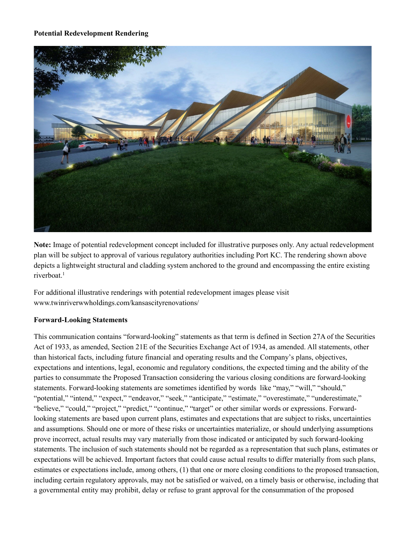**Potential Redevelopment Rendering**



**Note:** Image of potential redevelopment concept included for illustrative purposes only. Any actual redevelopment plan will be subject to approval of various regulatory authorities including Port KC. The rendering shown above depicts a lightweight structural and cladding system anchored to the ground and encompassing the entire existing riverboat.<sup>1</sup>

For additional illustrative renderings with potential redevelopment images please visit www.twinriverwwholdings.com/kansascityrenovations/

### **Forward-Looking Statements**

This communication contains "forward-looking" statements as that term is defined in Section 27A of the Securities Act of 1933, as amended, Section 21E of the Securities Exchange Act of 1934, as amended. All statements, other than historical facts, including future financial and operating results and the Company's plans, objectives, expectations and intentions, legal, economic and regulatory conditions, the expected timing and the ability of the parties to consummate the Proposed Transaction considering the various closing conditions are forward-looking statements. Forward-looking statements are sometimes identified by words like "may," "will," "should," "potential," "intend," "expect," "endeavor," "seek," "anticipate," "estimate," "overestimate," "underestimate," "believe," "could," "project," "predict," "continue," "target" or other similar words or expressions. Forwardlooking statements are based upon current plans, estimates and expectations that are subject to risks, uncertainties and assumptions. Should one or more of these risks or uncertainties materialize, or should underlying assumptions prove incorrect, actual results may vary materially from those indicated or anticipated by such forward-looking statements. The inclusion of such statements should not be regarded as a representation that such plans, estimates or expectations will be achieved. Important factors that could cause actual results to differ materially from such plans, estimates or expectations include, among others, (1) that one or more closing conditions to the proposed transaction, including certain regulatory approvals, may not be satisfied or waived, on a timely basis or otherwise, including that a governmental entity may prohibit, delay or refuse to grant approval for the consummation of the proposed